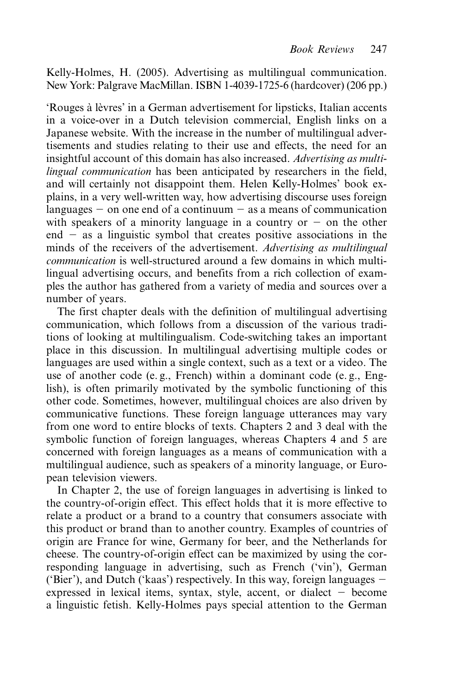Kelly-Holmes, H. (2005). Advertising as multilingual communication. New York: Palgrave MacMillan. ISBN 1-4039-1725-6 (hardcover) (206 pp.)

'Rouges à lèvres' in a German advertisement for lipsticks, Italian accents in a voice-over in a Dutch television commercial, English links on a Japanese website. With the increase in the number of multilingual advertisements and studies relating to their use and effects, the need for an insightful account of this domain has also increased. *Advertising as multilingual communication* has been anticipated by researchers in the field, and will certainly not disappoint them. Helen Kelly-Holmes' book explains, in a very well-written way, how advertising discourse uses foreign languages  $-$  on one end of a continuum  $-$  as a means of communication with speakers of a minority language in a country or  $-$  on the other end - as a linguistic symbol that creates positive associations in the minds of the receivers of the advertisement. *Advertising as multilingual communication* is well-structured around a few domains in which multilingual advertising occurs, and benefits from a rich collection of examples the author has gathered from a variety of media and sources over a number of years.

The first chapter deals with the definition of multilingual advertising communication, which follows from a discussion of the various traditions of looking at multilingualism. Code-switching takes an important place in this discussion. In multilingual advertising multiple codes or languages are used within a single context, such as a text or a video. The use of another code (e. g., French) within a dominant code (e. g., English), is often primarily motivated by the symbolic functioning of this other code. Sometimes, however, multilingual choices are also driven by communicative functions. These foreign language utterances may vary from one word to entire blocks of texts. Chapters 2 and 3 deal with the symbolic function of foreign languages, whereas Chapters 4 and 5 are concerned with foreign languages as a means of communication with a multilingual audience, such as speakers of a minority language, or European television viewers.

In Chapter 2, the use of foreign languages in advertising is linked to the country-of-origin effect. This effect holds that it is more effective to relate a product or a brand to a country that consumers associate with this product or brand than to another country. Examples of countries of origin are France for wine, Germany for beer, and the Netherlands for cheese. The country-of-origin effect can be maximized by using the corresponding language in advertising, such as French ('vin'), German ('Bier'), and Dutch ('kaas') respectively. In this way, foreign languages expressed in lexical items, syntax, style, accent, or dialect - become a linguistic fetish. Kelly-Holmes pays special attention to the German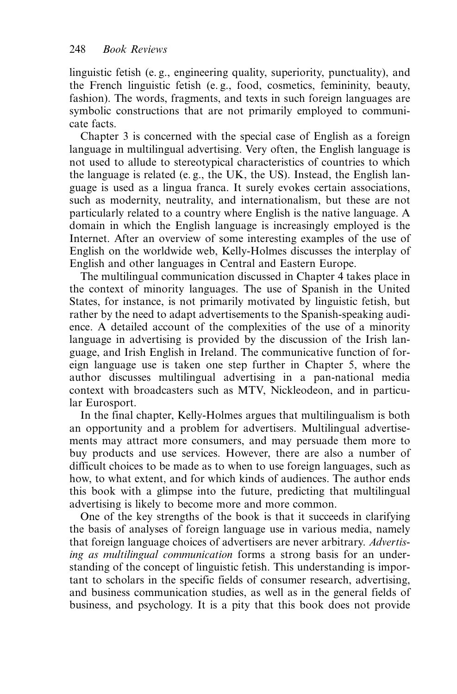linguistic fetish (e. g., engineering quality, superiority, punctuality), and the French linguistic fetish (e. g., food, cosmetics, femininity, beauty, fashion). The words, fragments, and texts in such foreign languages are symbolic constructions that are not primarily employed to communicate facts.

Chapter 3 is concerned with the special case of English as a foreign language in multilingual advertising. Very often, the English language is not used to allude to stereotypical characteristics of countries to which the language is related (e. g., the UK, the US). Instead, the English language is used as a lingua franca. It surely evokes certain associations, such as modernity, neutrality, and internationalism, but these are not particularly related to a country where English is the native language. A domain in which the English language is increasingly employed is the Internet. After an overview of some interesting examples of the use of English on the worldwide web, Kelly-Holmes discusses the interplay of English and other languages in Central and Eastern Europe.

The multilingual communication discussed in Chapter 4 takes place in the context of minority languages. The use of Spanish in the United States, for instance, is not primarily motivated by linguistic fetish, but rather by the need to adapt advertisements to the Spanish-speaking audience. A detailed account of the complexities of the use of a minority language in advertising is provided by the discussion of the Irish language, and Irish English in Ireland. The communicative function of foreign language use is taken one step further in Chapter 5, where the author discusses multilingual advertising in a pan-national media context with broadcasters such as MTV, Nickleodeon, and in particular Eurosport.

In the final chapter, Kelly-Holmes argues that multilingualism is both an opportunity and a problem for advertisers. Multilingual advertisements may attract more consumers, and may persuade them more to buy products and use services. However, there are also a number of difficult choices to be made as to when to use foreign languages, such as how, to what extent, and for which kinds of audiences. The author ends this book with a glimpse into the future, predicting that multilingual advertising is likely to become more and more common.

One of the key strengths of the book is that it succeeds in clarifying the basis of analyses of foreign language use in various media, namely that foreign language choices of advertisers are never arbitrary. *Advertising as multilingual communication* forms a strong basis for an understanding of the concept of linguistic fetish. This understanding is important to scholars in the specific fields of consumer research, advertising, and business communication studies, as well as in the general fields of business, and psychology. It is a pity that this book does not provide